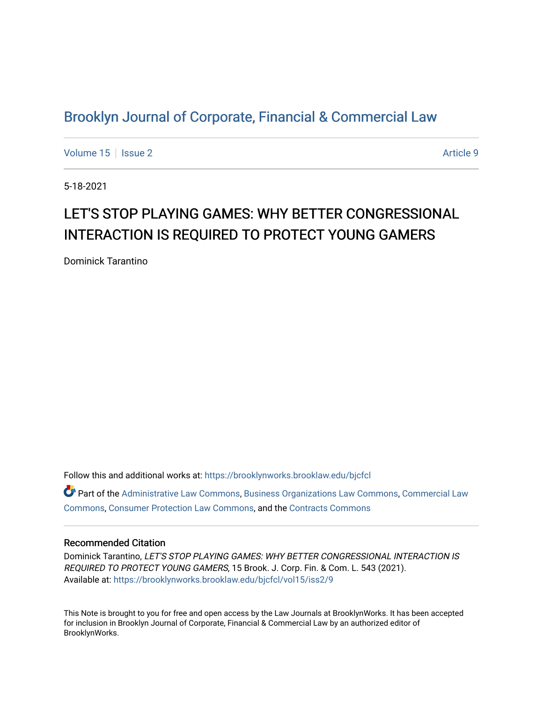## [Brooklyn Journal of Corporate, Financial & Commercial Law](https://brooklynworks.brooklaw.edu/bjcfcl)

[Volume 15](https://brooklynworks.brooklaw.edu/bjcfcl/vol15) | [Issue 2](https://brooklynworks.brooklaw.edu/bjcfcl/vol15/iss2) Article 9

5-18-2021

# LET'S STOP PLAYING GAMES: WHY BETTER CONGRESSIONAL INTERACTION IS REQUIRED TO PROTECT YOUNG GAMERS

Dominick Tarantino

Follow this and additional works at: [https://brooklynworks.brooklaw.edu/bjcfcl](https://brooklynworks.brooklaw.edu/bjcfcl?utm_source=brooklynworks.brooklaw.edu%2Fbjcfcl%2Fvol15%2Fiss2%2F9&utm_medium=PDF&utm_campaign=PDFCoverPages) Part of the [Administrative Law Commons,](http://network.bepress.com/hgg/discipline/579?utm_source=brooklynworks.brooklaw.edu%2Fbjcfcl%2Fvol15%2Fiss2%2F9&utm_medium=PDF&utm_campaign=PDFCoverPages) [Business Organizations Law Commons](http://network.bepress.com/hgg/discipline/900?utm_source=brooklynworks.brooklaw.edu%2Fbjcfcl%2Fvol15%2Fiss2%2F9&utm_medium=PDF&utm_campaign=PDFCoverPages), [Commercial Law](http://network.bepress.com/hgg/discipline/586?utm_source=brooklynworks.brooklaw.edu%2Fbjcfcl%2Fvol15%2Fiss2%2F9&utm_medium=PDF&utm_campaign=PDFCoverPages) [Commons](http://network.bepress.com/hgg/discipline/586?utm_source=brooklynworks.brooklaw.edu%2Fbjcfcl%2Fvol15%2Fiss2%2F9&utm_medium=PDF&utm_campaign=PDFCoverPages), [Consumer Protection Law Commons](http://network.bepress.com/hgg/discipline/838?utm_source=brooklynworks.brooklaw.edu%2Fbjcfcl%2Fvol15%2Fiss2%2F9&utm_medium=PDF&utm_campaign=PDFCoverPages), and the [Contracts Commons](http://network.bepress.com/hgg/discipline/591?utm_source=brooklynworks.brooklaw.edu%2Fbjcfcl%2Fvol15%2Fiss2%2F9&utm_medium=PDF&utm_campaign=PDFCoverPages)

#### Recommended Citation

Dominick Tarantino, LET'S STOP PLAYING GAMES: WHY BETTER CONGRESSIONAL INTERACTION IS REQUIRED TO PROTECT YOUNG GAMERS, 15 Brook. J. Corp. Fin. & Com. L. 543 (2021). Available at: [https://brooklynworks.brooklaw.edu/bjcfcl/vol15/iss2/9](https://brooklynworks.brooklaw.edu/bjcfcl/vol15/iss2/9?utm_source=brooklynworks.brooklaw.edu%2Fbjcfcl%2Fvol15%2Fiss2%2F9&utm_medium=PDF&utm_campaign=PDFCoverPages)

This Note is brought to you for free and open access by the Law Journals at BrooklynWorks. It has been accepted for inclusion in Brooklyn Journal of Corporate, Financial & Commercial Law by an authorized editor of BrooklynWorks.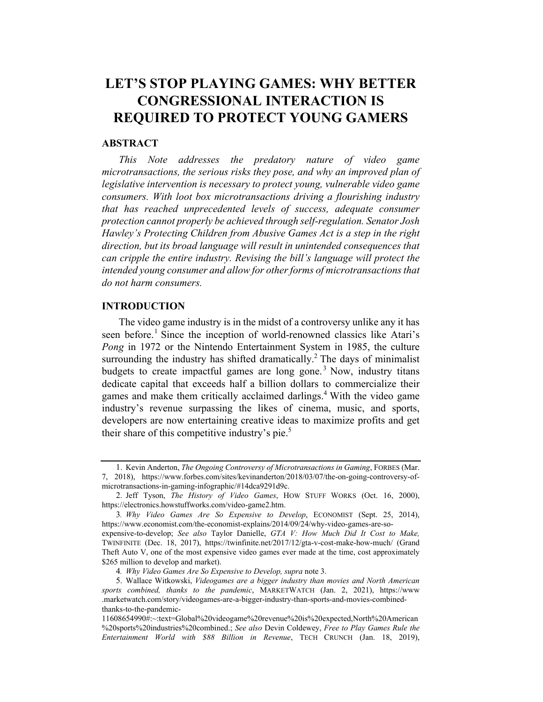## LET'S STOP PLAYING GAMES: WHY BETTER CONGRESSIONAL INTERACTION IS REQUIRED TO PROTECT YOUNG GAMERS

### ABSTRACT

This Note addresses the predatory nature of video game microtransactions, the serious risks they pose, and why an improved plan of legislative intervention is necessary to protect young, vulnerable video game consumers. With loot box microtransactions driving a flourishing industry that has reached unprecedented levels of success, adequate consumer protection cannot properly be achieved through self-regulation. Senator Josh Hawley's Protecting Children from Abusive Games Act is a step in the right direction, but its broad language will result in unintended consequences that can cripple the entire industry. Revising the bill's language will protect the intended young consumer and allow for other forms of microtransactions that do not harm consumers.

### INTRODUCTION

The video game industry is in the midst of a controversy unlike any it has seen before.<sup>1</sup> Since the inception of world-renowned classics like Atari's Pong in 1972 or the Nintendo Entertainment System in 1985, the culture surrounding the industry has shifted dramatically.<sup>2</sup> The days of minimalist budgets to create impactful games are long gone.<sup>3</sup> Now, industry titans dedicate capital that exceeds half a billion dollars to commercialize their games and make them critically acclaimed darlings.4 With the video game industry's revenue surpassing the likes of cinema, music, and sports, developers are now entertaining creative ideas to maximize profits and get their share of this competitive industry's pie.<sup>5</sup>

<sup>1.</sup> Kevin Anderton, The Ongoing Controversy of Microtransactions in Gaming, FORBES (Mar. 7, 2018), https://www.forbes.com/sites/kevinanderton/2018/03/07/the-on-going-controversy-ofmicrotransactions-in-gaming-infographic/#14dca9291d9c.

<sup>2.</sup> Jeff Tyson, The History of Video Games, HOW STUFF WORKS (Oct. 16, 2000), https://electronics.howstuffworks.com/video-game2.htm.

<sup>3</sup>. Why Video Games Are So Expensive to Develop, ECONOMIST (Sept. 25, 2014), https://www.economist.com/the-economist-explains/2014/09/24/why-video-games-are-so-

expensive-to-develop; See also Taylor Danielle, GTA V: How Much Did It Cost to Make, TWINFINITE (Dec. 18, 2017), https://twinfinite.net/2017/12/gta-v-cost-make-how-much/ (Grand Theft Auto V, one of the most expensive video games ever made at the time, cost approximately \$265 million to develop and market).

<sup>4</sup>. Why Video Games Are So Expensive to Develop, supra note 3.

<sup>5.</sup> Wallace Witkowski, Videogames are a bigger industry than movies and North American sports combined, thanks to the pandemic, MARKETWATCH (Jan. 2, 2021), https://www .marketwatch.com/story/videogames-are-a-bigger-industry-than-sports-and-movies-combinedthanks-to-the-pandemic-

<sup>11608654990#:~:</sup>text=Global%20videogame%20revenue%20is%20expected,North%20American %20sports%20industries%20combined.; See also Devin Coldewey, Free to Play Games Rule the Entertainment World with \$88 Billion in Revenue, TECH CRUNCH (Jan. 18, 2019),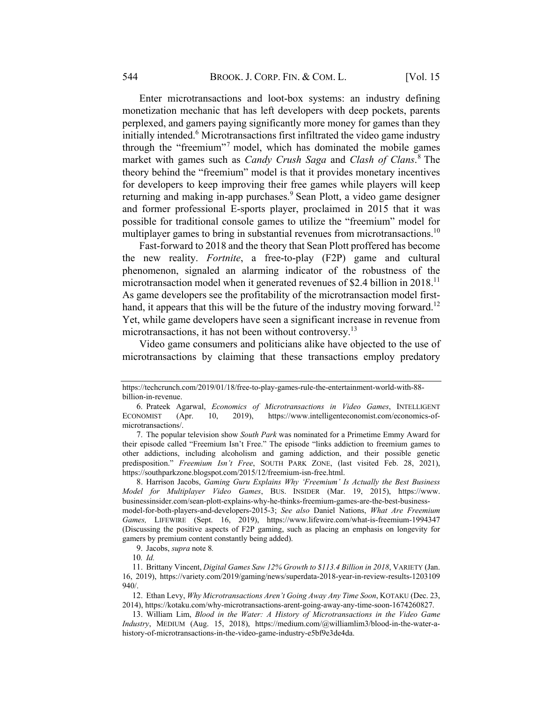Enter microtransactions and loot-box systems: an industry defining monetization mechanic that has left developers with deep pockets, parents perplexed, and gamers paying significantly more money for games than they initially intended.<sup>6</sup> Microtransactions first infiltrated the video game industry through the "freemium"<sup>7</sup> model, which has dominated the mobile games market with games such as *Candy Crush Saga* and *Clash of Clans*.<sup>8</sup> The theory behind the "freemium" model is that it provides monetary incentives for developers to keep improving their free games while players will keep returning and making in-app purchases.<sup>9</sup> Sean Plott, a video game designer and former professional E-sports player, proclaimed in 2015 that it was possible for traditional console games to utilize the "freemium" model for multiplayer games to bring in substantial revenues from microtransactions.<sup>10</sup>

Fast-forward to 2018 and the theory that Sean Plott proffered has become the new reality. Fortnite, a free-to-play (F2P) game and cultural phenomenon, signaled an alarming indicator of the robustness of the microtransaction model when it generated revenues of \$2.4 billion in 2018.<sup>11</sup> As game developers see the profitability of the microtransaction model firsthand, it appears that this will be the future of the industry moving forward.<sup>12</sup> Yet, while game developers have seen a significant increase in revenue from microtransactions, it has not been without controversy.<sup>13</sup>

Video game consumers and politicians alike have objected to the use of microtransactions by claiming that these transactions employ predatory

https://techcrunch.com/2019/01/18/free-to-play-games-rule-the-entertainment-world-with-88 billion-in-revenue.

<sup>6.</sup> Prateek Agarwal, Economics of Microtransactions in Video Games, INTELLIGENT ECONOMIST (Apr. 10, 2019), https://www.intelligenteconomist.com/economics-ofmicrotransactions/.

<sup>7.</sup> The popular television show South Park was nominated for a Primetime Emmy Award for their episode called "Freemium Isn't Free." The episode "links addiction to freemium games to other addictions, including alcoholism and gaming addiction, and their possible genetic predisposition." Freemium Isn't Free, SOUTH PARK ZONE, (last visited Feb. 28, 2021), https://southparkzone.blogspot.com/2015/12/freemium-isn-free.html.

<sup>8.</sup> Harrison Jacobs, Gaming Guru Explains Why 'Freemium' Is Actually the Best Business Model for Multiplayer Video Games, BUS. INSIDER (Mar. 19, 2015), https://www. businessinsider.com/sean-plott-explains-why-he-thinks-freemium-games-are-the-best-business-

model-for-both-players-and-developers-2015-3; See also Daniel Nations, What Are Freemium Games, LIFEWIRE (Sept. 16, 2019), https://www.lifewire.com/what-is-freemium-1994347 (Discussing the positive aspects of F2P gaming, such as placing an emphasis on longevity for gamers by premium content constantly being added).

<sup>9.</sup> Jacobs, supra note 8.

<sup>10</sup>. Id.

<sup>11.</sup> Brittany Vincent, Digital Games Saw 12% Growth to \$113.4 Billion in 2018, VARIETY (Jan. 16, 2019), https://variety.com/2019/gaming/news/superdata-2018-year-in-review-results-1203109 940/.

<sup>12.</sup> Ethan Levy, Why Microtransactions Aren't Going Away Any Time Soon, KOTAKU (Dec. 23, 2014), https://kotaku.com/why-microtransactions-arent-going-away-any-time-soon-1674260827.

<sup>13.</sup> William Lim, Blood in the Water: A History of Microtransactions in the Video Game Industry, MEDIUM (Aug. 15, 2018), https://medium.com/@williamlim3/blood-in-the-water-ahistory-of-microtransactions-in-the-video-game-industry-e5bf9e3de4da.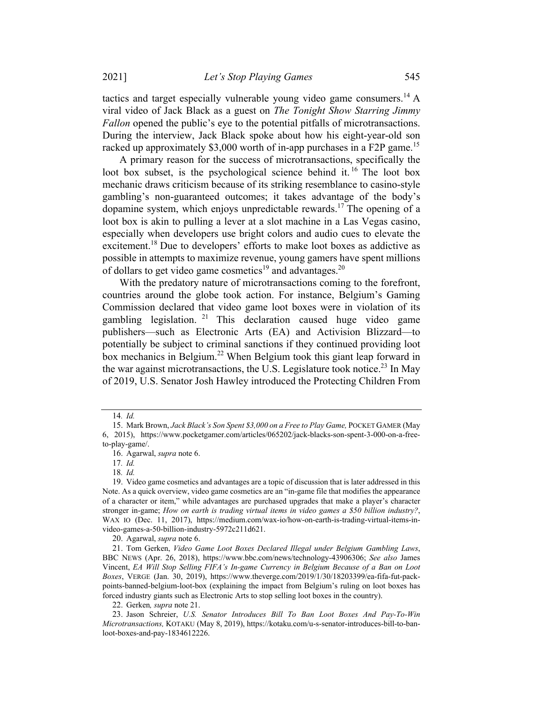tactics and target especially vulnerable young video game consumers.<sup>14</sup> A viral video of Jack Black as a guest on The Tonight Show Starring Jimmy Fallon opened the public's eye to the potential pitfalls of microtransactions. During the interview, Jack Black spoke about how his eight-year-old son racked up approximately \$3,000 worth of in-app purchases in a F2P game.<sup>15</sup>

A primary reason for the success of microtransactions, specifically the loot box subset, is the psychological science behind it. <sup>16</sup> The loot box mechanic draws criticism because of its striking resemblance to casino-style gambling's non-guaranteed outcomes; it takes advantage of the body's dopamine system, which enjoys unpredictable rewards.<sup>17</sup> The opening of a loot box is akin to pulling a lever at a slot machine in a Las Vegas casino, especially when developers use bright colors and audio cues to elevate the excitement.<sup>18</sup> Due to developers' efforts to make loot boxes as addictive as possible in attempts to maximize revenue, young gamers have spent millions of dollars to get video game cosmetics<sup>19</sup> and advantages.<sup>20</sup>

With the predatory nature of microtransactions coming to the forefront, countries around the globe took action. For instance, Belgium's Gaming Commission declared that video game loot boxes were in violation of its gambling legislation. <sup>21</sup> This declaration caused huge video game publishers—such as Electronic Arts (EA) and Activision Blizzard—to potentially be subject to criminal sanctions if they continued providing loot box mechanics in Belgium.<sup>22</sup> When Belgium took this giant leap forward in the war against microtransactions, the U.S. Legislature took notice.<sup>23</sup> In May of 2019, U.S. Senator Josh Hawley introduced the Protecting Children From

20. Agarwal, supra note 6.

<sup>14</sup>. Id.

<sup>15.</sup> Mark Brown, Jack Black's Son Spent \$3,000 on a Free to Play Game, POCKET GAMER (May 6, 2015), https://www.pocketgamer.com/articles/065202/jack-blacks-son-spent-3-000-on-a-freeto-play-game/.

<sup>16.</sup> Agarwal, supra note 6.

<sup>17</sup>. Id.

<sup>18</sup>. Id.

<sup>19.</sup> Video game cosmetics and advantages are a topic of discussion that is later addressed in this Note. As a quick overview, video game cosmetics are an "in-game file that modifies the appearance of a character or item," while advantages are purchased upgrades that make a player's character stronger in-game; How on earth is trading virtual items in video games a \$50 billion industry?, WAX IO (Dec. 11, 2017), https://medium.com/wax-io/how-on-earth-is-trading-virtual-items-invideo-games-a-50-billion-industry-5972c211d621.

<sup>21.</sup> Tom Gerken, Video Game Loot Boxes Declared Illegal under Belgium Gambling Laws, BBC NEWS (Apr. 26, 2018), https://www.bbc.com/news/technology-43906306; See also James Vincent, EA Will Stop Selling FIFA's In-game Currency in Belgium Because of a Ban on Loot Boxes, VERGE (Jan. 30, 2019), https://www.theverge.com/2019/1/30/18203399/ea-fifa-fut-packpoints-banned-belgium-loot-box (explaining the impact from Belgium's ruling on loot boxes has forced industry giants such as Electronic Arts to stop selling loot boxes in the country).

<sup>22.</sup> Gerken, supra note 21.

<sup>23.</sup> Jason Schreier, U.S. Senator Introduces Bill To Ban Loot Boxes And Pay-To-Win Microtransactions, KOTAKU (May 8, 2019), https://kotaku.com/u-s-senator-introduces-bill-to-banloot-boxes-and-pay-1834612226.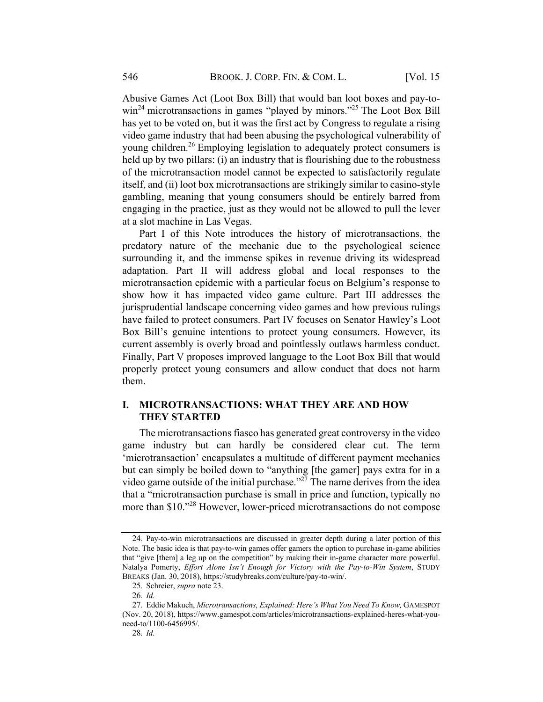Abusive Games Act (Loot Box Bill) that would ban loot boxes and pay-towin<sup>24</sup> microtransactions in games "played by minors."<sup>25</sup> The Loot Box Bill has yet to be voted on, but it was the first act by Congress to regulate a rising video game industry that had been abusing the psychological vulnerability of young children.<sup>26</sup> Employing legislation to adequately protect consumers is held up by two pillars: (i) an industry that is flourishing due to the robustness of the microtransaction model cannot be expected to satisfactorily regulate itself, and (ii) loot box microtransactions are strikingly similar to casino-style gambling, meaning that young consumers should be entirely barred from engaging in the practice, just as they would not be allowed to pull the lever at a slot machine in Las Vegas.

Part I of this Note introduces the history of microtransactions, the predatory nature of the mechanic due to the psychological science surrounding it, and the immense spikes in revenue driving its widespread adaptation. Part II will address global and local responses to the microtransaction epidemic with a particular focus on Belgium's response to show how it has impacted video game culture. Part III addresses the jurisprudential landscape concerning video games and how previous rulings have failed to protect consumers. Part IV focuses on Senator Hawley's Loot Box Bill's genuine intentions to protect young consumers. However, its current assembly is overly broad and pointlessly outlaws harmless conduct. Finally, Part V proposes improved language to the Loot Box Bill that would properly protect young consumers and allow conduct that does not harm them.

## I. MICROTRANSACTIONS: WHAT THEY ARE AND HOW THEY STARTED

The microtransactions fiasco has generated great controversy in the video game industry but can hardly be considered clear cut. The term 'microtransaction' encapsulates a multitude of different payment mechanics but can simply be boiled down to "anything [the gamer] pays extra for in a video game outside of the initial purchase."<sup>27</sup> The name derives from the idea that a "microtransaction purchase is small in price and function, typically no more than \$10."28 However, lower-priced microtransactions do not compose

<sup>24.</sup> Pay-to-win microtransactions are discussed in greater depth during a later portion of this Note. The basic idea is that pay-to-win games offer gamers the option to purchase in-game abilities that "give [them] a leg up on the competition" by making their in-game character more powerful. Natalya Pomerty, Effort Alone Isn't Enough for Victory with the Pay-to-Win System, STUDY BREAKS (Jan. 30, 2018), https://studybreaks.com/culture/pay-to-win/.

<sup>25.</sup> Schreier, supra note 23.

<sup>26</sup>. Id.

<sup>27.</sup> Eddie Makuch, Microtransactions, Explained: Here's What You Need To Know, GAMESPOT (Nov. 20, 2018), https://www.gamespot.com/articles/microtransactions-explained-heres-what-youneed-to/1100-6456995/.

<sup>28</sup>. Id.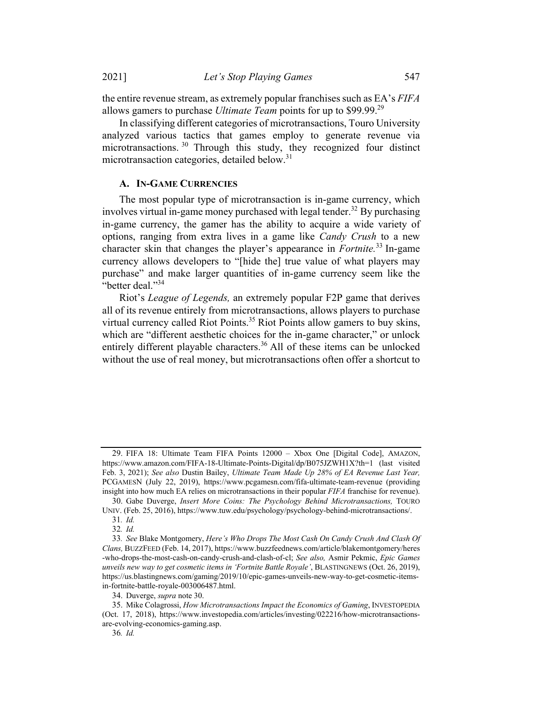the entire revenue stream, as extremely popular franchises such as EA's FIFA allows gamers to purchase *Ultimate Team* points for up to \$99.99.<sup>29</sup>

In classifying different categories of microtransactions, Touro University analyzed various tactics that games employ to generate revenue via microtransactions. <sup>30</sup> Through this study, they recognized four distinct microtransaction categories, detailed below.<sup>31</sup>

#### A. IN-GAME CURRENCIES

The most popular type of microtransaction is in-game currency, which involves virtual in-game money purchased with legal tender.<sup>32</sup> By purchasing in-game currency, the gamer has the ability to acquire a wide variety of options, ranging from extra lives in a game like Candy Crush to a new character skin that changes the player's appearance in *Fortnite*.<sup>33</sup> In-game currency allows developers to "[hide the] true value of what players may purchase" and make larger quantities of in-game currency seem like the "better deal."<sup>34</sup>

Riot's League of Legends, an extremely popular F2P game that derives all of its revenue entirely from microtransactions, allows players to purchase virtual currency called Riot Points.<sup>35</sup> Riot Points allow gamers to buy skins, which are "different aesthetic choices for the in-game character," or unlock entirely different playable characters.<sup>36</sup> All of these items can be unlocked without the use of real money, but microtransactions often offer a shortcut to

<sup>29.</sup> FIFA 18: Ultimate Team FIFA Points 12000 – Xbox One [Digital Code], AMAZON, https://www.amazon.com/FIFA-18-Ultimate-Points-Digital/dp/B075JZWH1X?th=1 (last visited Feb. 3, 2021); See also Dustin Bailey, Ultimate Team Made Up 28% of EA Revenue Last Year, PCGAMESN (July 22, 2019), https://www.pcgamesn.com/fifa-ultimate-team-revenue (providing insight into how much EA relies on microtransactions in their popular FIFA franchise for revenue).

<sup>30.</sup> Gabe Duverge, Insert More Coins: The Psychology Behind Microtransactions, TOURO UNIV. (Feb. 25, 2016), https://www.tuw.edu/psychology/psychology-behind-microtransactions/.

<sup>31</sup>. Id.

<sup>32</sup>. Id.

<sup>33</sup>. See Blake Montgomery, Here's Who Drops The Most Cash On Candy Crush And Clash Of Clans, BUZZFEED (Feb. 14, 2017), https://www.buzzfeednews.com/article/blakemontgomery/heres -who-drops-the-most-cash-on-candy-crush-and-clash-of-cl; See also, Asmir Pekmic, Epic Games unveils new way to get cosmetic items in 'Fortnite Battle Royale', BLASTINGNEWS (Oct. 26, 2019), https://us.blastingnews.com/gaming/2019/10/epic-games-unveils-new-way-to-get-cosmetic-itemsin-fortnite-battle-royale-003006487.html.

<sup>34.</sup> Duverge, supra note 30.

<sup>35.</sup> Mike Colagrossi, How Microtransactions Impact the Economics of Gaming, INVESTOPEDIA (Oct. 17, 2018), https://www.investopedia.com/articles/investing/022216/how-microtransactionsare-evolving-economics-gaming.asp.

<sup>36</sup>. Id.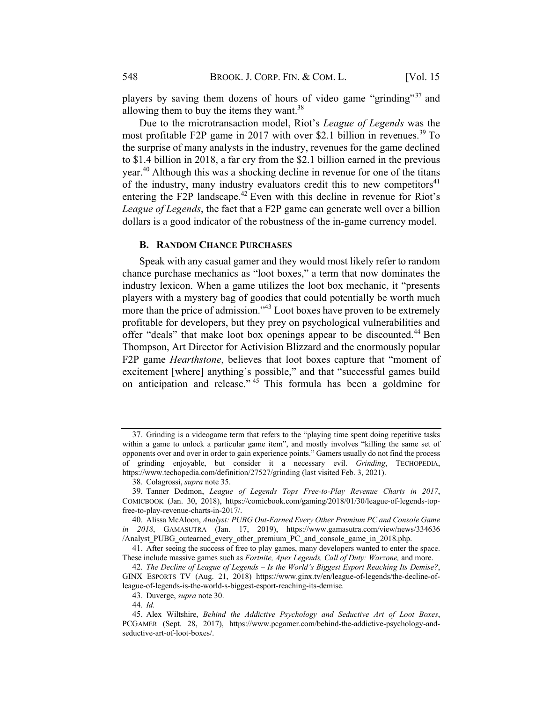players by saving them dozens of hours of video game "grinding"<sup>37</sup> and allowing them to buy the items they want. $38$ 

Due to the microtransaction model, Riot's League of Legends was the most profitable F2P game in 2017 with over \$2.1 billion in revenues. <sup>39</sup> To the surprise of many analysts in the industry, revenues for the game declined to \$1.4 billion in 2018, a far cry from the \$2.1 billion earned in the previous year.<sup>40</sup> Although this was a shocking decline in revenue for one of the titans of the industry, many industry evaluators credit this to new competitors<sup>41</sup> entering the F2P landscape.<sup>42</sup> Even with this decline in revenue for Riot's League of Legends, the fact that a F2P game can generate well over a billion dollars is a good indicator of the robustness of the in-game currency model.

#### B. RANDOM CHANCE PURCHASES

Speak with any casual gamer and they would most likely refer to random chance purchase mechanics as "loot boxes," a term that now dominates the industry lexicon. When a game utilizes the loot box mechanic, it "presents players with a mystery bag of goodies that could potentially be worth much more than the price of admission."<sup>43</sup> Loot boxes have proven to be extremely profitable for developers, but they prey on psychological vulnerabilities and offer "deals" that make loot box openings appear to be discounted.<sup>44</sup> Ben Thompson, Art Director for Activision Blizzard and the enormously popular F2P game Hearthstone, believes that loot boxes capture that "moment of excitement [where] anything's possible," and that "successful games build on anticipation and release." <sup>45</sup> This formula has been a goldmine for

<sup>37.</sup> Grinding is a videogame term that refers to the "playing time spent doing repetitive tasks within a game to unlock a particular game item", and mostly involves "killing the same set of opponents over and over in order to gain experience points." Gamers usually do not find the process of grinding enjoyable, but consider it a necessary evil. Grinding, TECHOPEDIA, https://www.techopedia.com/definition/27527/grinding (last visited Feb. 3, 2021).

<sup>38.</sup> Colagrossi, supra note 35.

<sup>39.</sup> Tanner Dedmon, League of Legends Tops Free-to-Play Revenue Charts in 2017, COMICBOOK (Jan. 30, 2018), https://comicbook.com/gaming/2018/01/30/league-of-legends-topfree-to-play-revenue-charts-in-2017/.

<sup>40.</sup> Alissa McAloon, Analyst: PUBG Out-Earned Every Other Premium PC and Console Game in 2018, GAMASUTRA (Jan. 17, 2019), https://www.gamasutra.com/view/news/334636 /Analyst PUBG outearned every other premium PC and console game in 2018.php.

<sup>41.</sup> After seeing the success of free to play games, many developers wanted to enter the space. These include massive games such as Fortnite, Apex Legends, Call of Duty: Warzone, and more.

<sup>42</sup>. The Decline of League of Legends – Is the World's Biggest Esport Reaching Its Demise?, GINX ESPORTS TV (Aug. 21, 2018) https://www.ginx.tv/en/league-of-legends/the-decline-ofleague-of-legends-is-the-world-s-biggest-esport-reaching-its-demise.

<sup>43.</sup> Duverge, supra note 30.

<sup>44</sup>. Id.

<sup>45.</sup> Alex Wiltshire, Behind the Addictive Psychology and Seductive Art of Loot Boxes, PCGAMER (Sept. 28, 2017), https://www.pcgamer.com/behind-the-addictive-psychology-andseductive-art-of-loot-boxes/.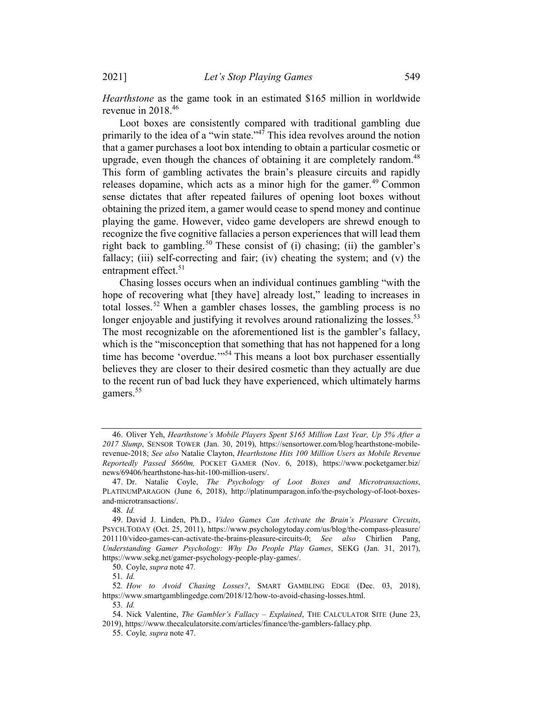2021] Let's Stop Playing Games 549

Hearthstone as the game took in an estimated \$165 million in worldwide revenue in 2018. 46

Loot boxes are consistently compared with traditional gambling due primarily to the idea of a "win state."<sup>47</sup> This idea revolves around the notion that a gamer purchases a loot box intending to obtain a particular cosmetic or upgrade, even though the chances of obtaining it are completely random.<sup>48</sup> This form of gambling activates the brain's pleasure circuits and rapidly releases dopamine, which acts as a minor high for the gamer.<sup>49</sup> Common sense dictates that after repeated failures of opening loot boxes without obtaining the prized item, a gamer would cease to spend money and continue playing the game. However, video game developers are shrewd enough to recognize the five cognitive fallacies a person experiences that will lead them right back to gambling.<sup>50</sup> These consist of (i) chasing; (ii) the gambler's fallacy; (iii) self-correcting and fair; (iv) cheating the system; and (v) the entrapment effect.<sup>51</sup>

Chasing losses occurs when an individual continues gambling "with the hope of recovering what [they have] already lost," leading to increases in total losses.<sup>52</sup> When a gambler chases losses, the gambling process is no longer enjoyable and justifying it revolves around rationalizing the losses.<sup>53</sup> The most recognizable on the aforementioned list is the gambler's fallacy, which is the "misconception that something that has not happened for a long time has become 'overdue.'<sup>54</sup> This means a loot box purchaser essentially believes they are closer to their desired cosmetic than they actually are due to the recent run of bad luck they have experienced, which ultimately harms gamers. 55

<sup>46.</sup> Oliver Yeh, Hearthstone's Mobile Players Spent \$165 Million Last Year, Up 5% After a 2017 Slump, SENSOR TOWER (Jan. 30, 2019), https://sensortower.com/blog/hearthstone-mobilerevenue-2018; See also Natalie Clayton, Hearthstone Hits 100 Million Users as Mobile Revenue Reportedly Passed \$660m, POCKET GAMER (Nov. 6, 2018), https://www.pocketgamer.biz/ news/69406/hearthstone-has-hit-100-million-users/.

<sup>47.</sup> Dr. Natalie Coyle, The Psychology of Loot Boxes and Microtransactions, PLATINUMPARAGON (June 6, 2018), http://platinumparagon.info/the-psychology-of-loot-boxesand-microtransactions/.

<sup>48</sup>. Id.

<sup>49.</sup> David J. Linden, Ph.D., Video Games Can Activate the Brain's Pleasure Circuits, PSYCH.TODAY (Oct. 25, 2011), https://www.psychologytoday.com/us/blog/the-compass-pleasure/ 201110/video-games-can-activate-the-brains-pleasure-circuits-0; See also Chirlien Pang, Understanding Gamer Psychology: Why Do People Play Games, SEKG (Jan. 31, 2017), https://www.sekg.net/gamer-psychology-people-play-games/.

<sup>50.</sup> Coyle, supra note 47.

<sup>51</sup>. Id.

<sup>52</sup>. How to Avoid Chasing Losses?, SMART GAMBLING EDGE (Dec. 03, 2018), https://www.smartgamblingedge.com/2018/12/how-to-avoid-chasing-losses.html.

<sup>53</sup>. Id.

<sup>54.</sup> Nick Valentine, The Gambler's Fallacy – Explained, THE CALCULATOR SITE (June 23, 2019), https://www.thecalculatorsite.com/articles/finance/the-gamblers-fallacy.php.

<sup>55.</sup> Coyle, supra note 47.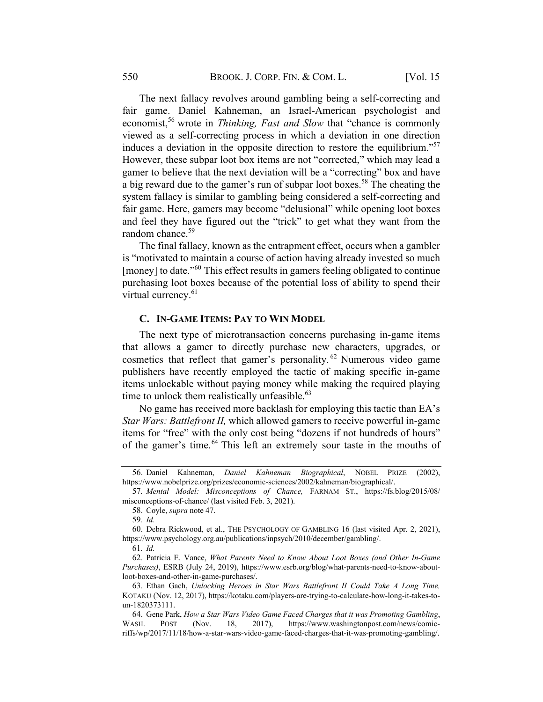The next fallacy revolves around gambling being a self-correcting and fair game. Daniel Kahneman, an Israel-American psychologist and economist,<sup>56</sup> wrote in *Thinking, Fast and Slow* that "chance is commonly viewed as a self-correcting process in which a deviation in one direction induces a deviation in the opposite direction to restore the equilibrium. $\mathbf{S}^{(1)}$ However, these subpar loot box items are not "corrected," which may lead a gamer to believe that the next deviation will be a "correcting" box and have a big reward due to the gamer's run of subpar loot boxes.<sup>58</sup> The cheating the system fallacy is similar to gambling being considered a self-correcting and fair game. Here, gamers may become "delusional" while opening loot boxes and feel they have figured out the "trick" to get what they want from the random chance.<sup>59</sup>

The final fallacy, known as the entrapment effect, occurs when a gambler is "motivated to maintain a course of action having already invested so much [money] to date."<sup>60</sup> This effect results in gamers feeling obligated to continue purchasing loot boxes because of the potential loss of ability to spend their virtual currency.<sup>61</sup>

#### C. IN-GAME ITEMS: PAY TO WIN MODEL

The next type of microtransaction concerns purchasing in-game items that allows a gamer to directly purchase new characters, upgrades, or cosmetics that reflect that gamer's personality. <sup>62</sup> Numerous video game publishers have recently employed the tactic of making specific in-game items unlockable without paying money while making the required playing time to unlock them realistically unfeasible. $^{63}$ 

No game has received more backlash for employing this tactic than EA's Star Wars: Battlefront II, which allowed gamers to receive powerful in-game items for "free" with the only cost being "dozens if not hundreds of hours" of the gamer's time.<sup>64</sup> This left an extremely sour taste in the mouths of

<sup>56.</sup> Daniel Kahneman, Daniel Kahneman Biographical, NOBEL PRIZE (2002), https://www.nobelprize.org/prizes/economic-sciences/2002/kahneman/biographical/.

<sup>57</sup>. Mental Model: Misconceptions of Chance, FARNAM ST., https://fs.blog/2015/08/ misconceptions-of-chance/ (last visited Feb. 3, 2021).

<sup>58.</sup> Coyle, supra note 47.

<sup>59</sup>. Id.

<sup>60.</sup> Debra Rickwood, et al., THE PSYCHOLOGY OF GAMBLING 16 (last visited Apr. 2, 2021), https://www.psychology.org.au/publications/inpsych/2010/december/gambling/.

<sup>61</sup>. Id.

<sup>62.</sup> Patricia E. Vance, What Parents Need to Know About Loot Boxes (and Other In-Game Purchases), ESRB (July 24, 2019), https://www.esrb.org/blog/what-parents-need-to-know-aboutloot-boxes-and-other-in-game-purchases/.

<sup>63.</sup> Ethan Gach, Unlocking Heroes in Star Wars Battlefront II Could Take A Long Time, KOTAKU (Nov. 12, 2017), https://kotaku.com/players-are-trying-to-calculate-how-long-it-takes-toun-1820373111.

<sup>64.</sup> Gene Park, How a Star Wars Video Game Faced Charges that it was Promoting Gambling, WASH. POST (Nov. 18, 2017), https://www.washingtonpost.com/news/comicriffs/wp/2017/11/18/how-a-star-wars-video-game-faced-charges-that-it-was-promoting-gambling/.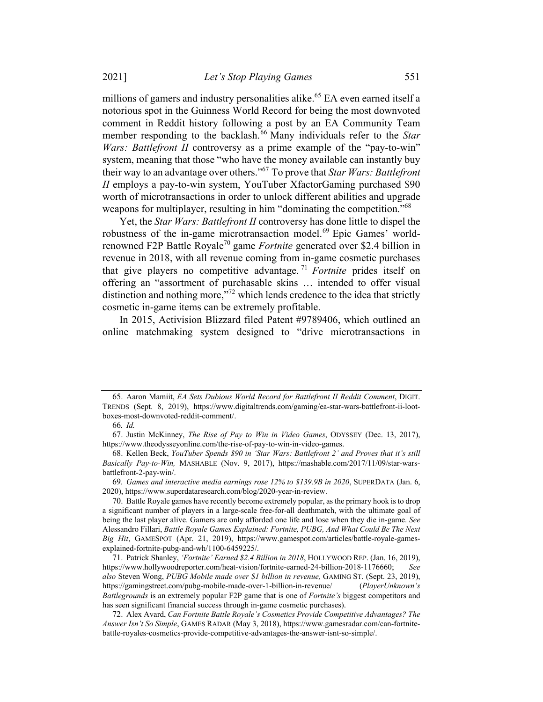millions of gamers and industry personalities alike.<sup>65</sup> EA even earned itself a notorious spot in the Guinness World Record for being the most downvoted comment in Reddit history following a post by an EA Community Team member responding to the backlash.<sup>66</sup> Many individuals refer to the Star Wars: Battlefront II controversy as a prime example of the "pay-to-win" system, meaning that those "who have the money available can instantly buy their way to an advantage over others."<sup>67</sup> To prove that *Star Wars: Battlefront* II employs a pay-to-win system, YouTuber XfactorGaming purchased \$90 worth of microtransactions in order to unlock different abilities and upgrade weapons for multiplayer, resulting in him "dominating the competition."<sup>68</sup>

Yet, the Star Wars: Battlefront II controversy has done little to dispel the robustness of the in-game microtransaction model.<sup>69</sup> Epic Games' worldrenowned F2P Battle Royale<sup>70</sup> game *Fortnite* generated over \$2.4 billion in revenue in 2018, with all revenue coming from in-game cosmetic purchases that give players no competitive advantage.<sup>71</sup> Fortnite prides itself on offering an "assortment of purchasable skins … intended to offer visual distinction and nothing more,<sup>772</sup> which lends credence to the idea that strictly cosmetic in-game items can be extremely profitable.

In 2015, Activision Blizzard filed Patent #9789406, which outlined an online matchmaking system designed to "drive microtransactions in

<sup>65.</sup> Aaron Mamiit, EA Sets Dubious World Record for Battlefront II Reddit Comment, DIGIT. TRENDS (Sept. 8, 2019), https://www.digitaltrends.com/gaming/ea-star-wars-battlefront-ii-lootboxes-most-downvoted-reddit-comment/.

<sup>66</sup>. Id.

<sup>67.</sup> Justin McKinney, The Rise of Pay to Win in Video Games, ODYSSEY (Dec. 13, 2017), https://www.theodysseyonline.com/the-rise-of-pay-to-win-in-video-games.

<sup>68.</sup> Kellen Beck, YouTuber Spends \$90 in 'Star Wars: Battlefront 2' and Proves that it's still Basically Pay-to-Win, MASHABLE (Nov. 9, 2017), https://mashable.com/2017/11/09/star-warsbattlefront-2-pay-win/.

<sup>69</sup>. Games and interactive media earnings rose 12% to \$139.9B in 2020, SUPERDATA (Jan. 6, 2020), https://www.superdataresearch.com/blog/2020-year-in-review.

<sup>70.</sup> Battle Royale games have recently become extremely popular, as the primary hook is to drop a significant number of players in a large-scale free-for-all deathmatch, with the ultimate goal of being the last player alive. Gamers are only afforded one life and lose when they die in-game. See Alessandro Fillari, Battle Royale Games Explained: Fortnite, PUBG, And What Could Be The Next Big Hit, GAMESPOT (Apr. 21, 2019), https://www.gamespot.com/articles/battle-royale-gamesexplained-fortnite-pubg-and-wh/1100-6459225/.

<sup>71.</sup> Patrick Shanley, 'Fortnite' Earned \$2.4 Billion in 2018, HOLLYWOOD REP. (Jan. 16, 2019), https://www.hollywoodreporter.com/heat-vision/fortnite-earned-24-billion-2018-1176660; See also Steven Wong, PUBG Mobile made over \$1 billion in revenue, GAMING ST. (Sept. 23, 2019), https://gamingstreet.com/pubg-mobile-made-over-1-billion-in-revenue/ (PlayerUnknown's Battlegrounds is an extremely popular F2P game that is one of Fortnite's biggest competitors and has seen significant financial success through in-game cosmetic purchases).

<sup>72.</sup> Alex Avard, Can Fortnite Battle Royale's Cosmetics Provide Competitive Advantages? The Answer Isn't So Simple, GAMES RADAR (May 3, 2018), https://www.gamesradar.com/can-fortnitebattle-royales-cosmetics-provide-competitive-advantages-the-answer-isnt-so-simple/.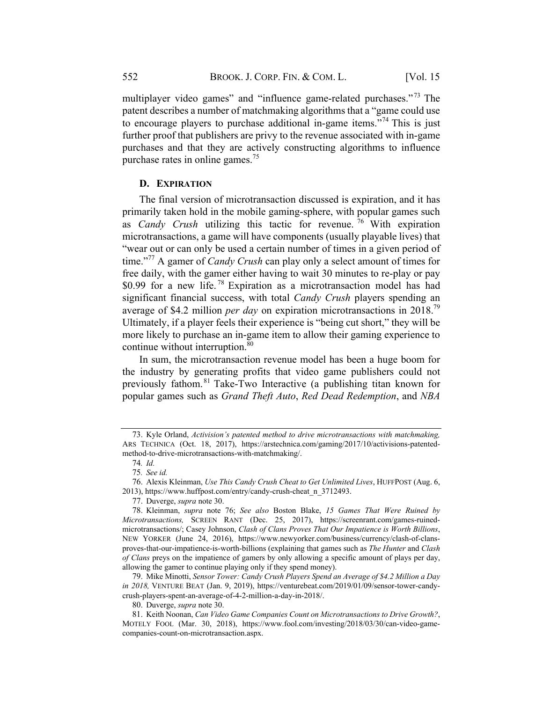multiplayer video games" and "influence game-related purchases."<sup>73</sup> The patent describes a number of matchmaking algorithms that a "game could use to encourage players to purchase additional in-game items."<sup>74</sup> This is just further proof that publishers are privy to the revenue associated with in-game purchases and that they are actively constructing algorithms to influence purchase rates in online games.<sup>75</sup>

### D. EXPIRATION

The final version of microtransaction discussed is expiration, and it has primarily taken hold in the mobile gaming-sphere, with popular games such as *Candy Crush* utilizing this tactic for revenue.<sup>76</sup> With expiration microtransactions, a game will have components (usually playable lives) that "wear out or can only be used a certain number of times in a given period of time."<sup>77</sup> A gamer of *Candy Crush* can play only a select amount of times for free daily, with the gamer either having to wait 30 minutes to re-play or pay \$0.99 for a new life.<sup>78</sup> Expiration as a microtransaction model has had significant financial success, with total *Candy Crush* players spending an average of \$4.2 million *per day* on expiration microtransactions in 2018.<sup>79</sup> Ultimately, if a player feels their experience is "being cut short," they will be more likely to purchase an in-game item to allow their gaming experience to continue without interruption.<sup>80</sup>

In sum, the microtransaction revenue model has been a huge boom for the industry by generating profits that video game publishers could not previously fathom.<sup>81</sup> Take-Two Interactive (a publishing titan known for popular games such as Grand Theft Auto, Red Dead Redemption, and NBA

79. Mike Minotti, Sensor Tower: Candy Crush Players Spend an Average of \$4.2 Million a Day in 2018, VENTURE BEAT (Jan. 9, 2019), https://venturebeat.com/2019/01/09/sensor-tower-candycrush-players-spent-an-average-of-4-2-million-a-day-in-2018/.

<sup>73.</sup> Kyle Orland, Activision's patented method to drive microtransactions with matchmaking, ARS TECHNICA (Oct. 18, 2017), https://arstechnica.com/gaming/2017/10/activisions-patentedmethod-to-drive-microtransactions-with-matchmaking/.

<sup>74</sup>. Id.

<sup>75</sup>. See id.

<sup>76.</sup> Alexis Kleinman, Use This Candy Crush Cheat to Get Unlimited Lives, HUFFPOST (Aug. 6, 2013), https://www.huffpost.com/entry/candy-crush-cheat\_n\_3712493.

<sup>77.</sup> Duverge, supra note 30.

<sup>78.</sup> Kleinman, supra note 76; See also Boston Blake, 15 Games That Were Ruined by Microtransactions, SCREEN RANT (Dec. 25, 2017), https://screenrant.com/games-ruinedmicrotransactions/; Casey Johnson, Clash of Clans Proves That Our Impatience is Worth Billions, NEW YORKER (June 24, 2016), https://www.newyorker.com/business/currency/clash-of-clansproves-that-our-impatience-is-worth-billions (explaining that games such as The Hunter and Clash of Clans preys on the impatience of gamers by only allowing a specific amount of plays per day, allowing the gamer to continue playing only if they spend money).

<sup>80.</sup> Duverge, supra note 30.

<sup>81.</sup> Keith Noonan, Can Video Game Companies Count on Microtransactions to Drive Growth?, MOTELY FOOL (Mar. 30, 2018), https://www.fool.com/investing/2018/03/30/can-video-gamecompanies-count-on-microtransaction.aspx.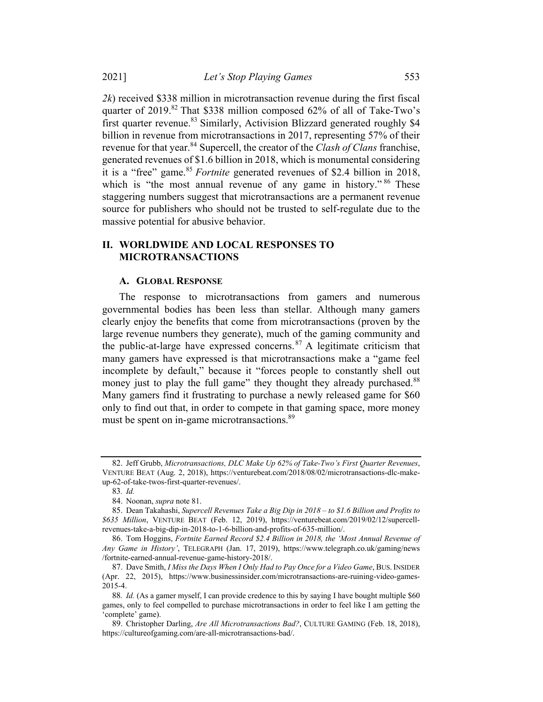$2k$ ) received \$338 million in microtransaction revenue during the first fiscal quarter of 2019.<sup>82</sup> That \$338 million composed 62% of all of Take-Two's first quarter revenue.<sup>83</sup> Similarly, Activision Blizzard generated roughly \$4 billion in revenue from microtransactions in 2017, representing 57% of their revenue for that year.<sup>84</sup> Supercell, the creator of the *Clash of Clans* franchise, generated revenues of \$1.6 billion in 2018, which is monumental considering it is a "free" game.<sup>85</sup> Fortnite generated revenues of \$2.4 billion in 2018, which is "the most annual revenue of any game in history."<sup>86</sup> These staggering numbers suggest that microtransactions are a permanent revenue source for publishers who should not be trusted to self-regulate due to the massive potential for abusive behavior.

## II. WORLDWIDE AND LOCAL RESPONSES TO MICROTRANSACTIONS

#### A. GLOBAL RESPONSE

The response to microtransactions from gamers and numerous governmental bodies has been less than stellar. Although many gamers clearly enjoy the benefits that come from microtransactions (proven by the large revenue numbers they generate), much of the gaming community and the public-at-large have expressed concerns. $87$  A legitimate criticism that many gamers have expressed is that microtransactions make a "game feel incomplete by default," because it "forces people to constantly shell out money just to play the full game" they thought they already purchased.<sup>88</sup> Many gamers find it frustrating to purchase a newly released game for \$60 only to find out that, in order to compete in that gaming space, more money must be spent on in-game microtransactions.<sup>89</sup>

<sup>82.</sup> Jeff Grubb, Microtransactions, DLC Make Up 62% of Take-Two's First Quarter Revenues, VENTURE BEAT (Aug. 2, 2018), https://venturebeat.com/2018/08/02/microtransactions-dlc-makeup-62-of-take-twos-first-quarter-revenues/.

<sup>83</sup>. Id.

<sup>84.</sup> Noonan, supra note 81.

<sup>85.</sup> Dean Takahashi, Supercell Revenues Take a Big Dip in 2018 – to \$1.6 Billion and Profits to \$635 Million, VENTURE BEAT (Feb. 12, 2019), https://venturebeat.com/2019/02/12/supercellrevenues-take-a-big-dip-in-2018-to-1-6-billion-and-profits-of-635-million/.

<sup>86.</sup> Tom Hoggins, Fortnite Earned Record \$2.4 Billion in 2018, the 'Most Annual Revenue of Any Game in History', TELEGRAPH (Jan. 17, 2019), https://www.telegraph.co.uk/gaming/news /fortnite-earned-annual-revenue-game-history-2018/.

<sup>87.</sup> Dave Smith, I Miss the Days When I Only Had to Pay Once for a Video Game, BUS. INSIDER (Apr. 22, 2015), https://www.businessinsider.com/microtransactions-are-ruining-video-games-2015-4.

<sup>88.</sup> *Id.* (As a gamer myself, I can provide credence to this by saying I have bought multiple \$60 games, only to feel compelled to purchase microtransactions in order to feel like I am getting the 'complete' game).

<sup>89.</sup> Christopher Darling, Are All Microtransactions Bad?, CULTURE GAMING (Feb. 18, 2018), https://cultureofgaming.com/are-all-microtransactions-bad/.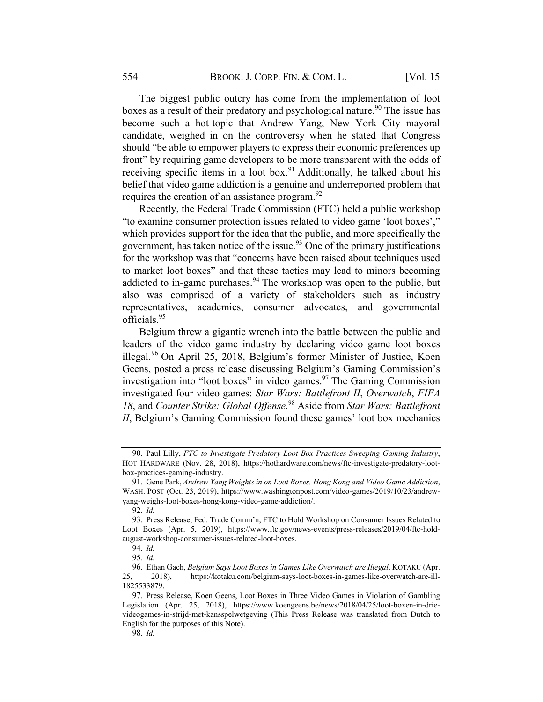The biggest public outcry has come from the implementation of loot boxes as a result of their predatory and psychological nature.<sup>90</sup> The issue has become such a hot-topic that Andrew Yang, New York City mayoral candidate, weighed in on the controversy when he stated that Congress should "be able to empower players to express their economic preferences up front" by requiring game developers to be more transparent with the odds of receiving specific items in a loot box.<sup>91</sup> Additionally, he talked about his belief that video game addiction is a genuine and underreported problem that requires the creation of an assistance program.<sup>92</sup>

Recently, the Federal Trade Commission (FTC) held a public workshop "to examine consumer protection issues related to video game 'loot boxes'," which provides support for the idea that the public, and more specifically the government, has taken notice of the issue.<sup>93</sup> One of the primary justifications for the workshop was that "concerns have been raised about techniques used to market loot boxes" and that these tactics may lead to minors becoming addicted to in-game purchases.<sup>94</sup> The workshop was open to the public, but also was comprised of a variety of stakeholders such as industry representatives, academics, consumer advocates, and governmental officials.<sup>95</sup>

Belgium threw a gigantic wrench into the battle between the public and leaders of the video game industry by declaring video game loot boxes illegal.<sup>96</sup> On April 25, 2018, Belgium's former Minister of Justice, Koen Geens, posted a press release discussing Belgium's Gaming Commission's investigation into "loot boxes" in video games.  $97$  The Gaming Commission investigated four video games: Star Wars: Battlefront II, Overwatch, FIFA 18, and Counter Strike: Global Offense.<sup>98</sup> Aside from Star Wars: Battlefront II, Belgium's Gaming Commission found these games' loot box mechanics

<sup>90.</sup> Paul Lilly, FTC to Investigate Predatory Loot Box Practices Sweeping Gaming Industry, HOT HARDWARE (Nov. 28, 2018), https://hothardware.com/news/ftc-investigate-predatory-lootbox-practices-gaming-industry.

<sup>91.</sup> Gene Park, Andrew Yang Weights in on Loot Boxes, Hong Kong and Video Game Addiction, WASH. POST (Oct. 23, 2019), https://www.washingtonpost.com/video-games/2019/10/23/andrewyang-weighs-loot-boxes-hong-kong-video-game-addiction/.

<sup>92</sup>. Id.

<sup>93.</sup> Press Release, Fed. Trade Comm'n, FTC to Hold Workshop on Consumer Issues Related to Loot Boxes (Apr. 5, 2019), https://www.ftc.gov/news-events/press-releases/2019/04/ftc-holdaugust-workshop-consumer-issues-related-loot-boxes.

<sup>94</sup>. Id.

<sup>95</sup>. Id.

<sup>96.</sup> Ethan Gach, Belgium Says Loot Boxes in Games Like Overwatch are Illegal, KOTAKU (Apr. 25, 2018), https://kotaku.com/belgium-says-loot-boxes-in-games-like-overwatch-are-ill-1825533879.

<sup>97.</sup> Press Release, Koen Geens, Loot Boxes in Three Video Games in Violation of Gambling Legislation (Apr. 25, 2018), https://www.koengeens.be/news/2018/04/25/loot-boxen-in-drievideogames-in-strijd-met-kansspelwetgeving (This Press Release was translated from Dutch to English for the purposes of this Note).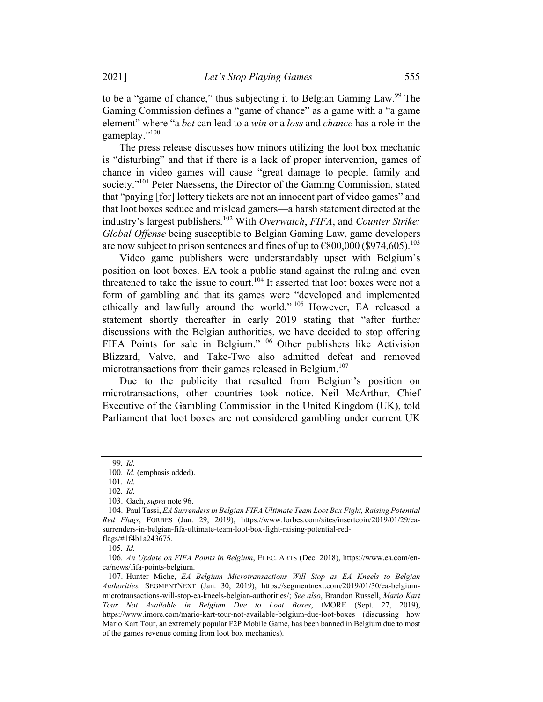to be a "game of chance," thus subjecting it to Belgian Gaming Law.<sup>99</sup> The Gaming Commission defines a "game of chance" as a game with a "a game element" where "a *bet* can lead to a *win* or a *loss* and *chance* has a role in the gameplay."<sup>100</sup>

The press release discusses how minors utilizing the loot box mechanic is "disturbing" and that if there is a lack of proper intervention, games of chance in video games will cause "great damage to people, family and society."<sup>101</sup> Peter Naessens, the Director of the Gaming Commission, stated that "paying [for] lottery tickets are not an innocent part of video games" and that loot boxes seduce and mislead gamers—a harsh statement directed at the industry's largest publishers.<sup>102</sup> With *Overwatch*, FIFA, and *Counter Strike*: Global Offense being susceptible to Belgian Gaming Law, game developers are now subject to prison sentences and fines of up to  $\epsilon$ 800,000 (\$974,605).<sup>103</sup>

Video game publishers were understandably upset with Belgium's position on loot boxes. EA took a public stand against the ruling and even threatened to take the issue to court.<sup>104</sup> It asserted that loot boxes were not a form of gambling and that its games were "developed and implemented ethically and lawfully around the world."<sup>105</sup> However, EA released a statement shortly thereafter in early 2019 stating that "after further discussions with the Belgian authorities, we have decided to stop offering FIFA Points for sale in Belgium."<sup>106</sup> Other publishers like Activision Blizzard, Valve, and Take-Two also admitted defeat and removed microtransactions from their games released in Belgium.<sup>107</sup>

Due to the publicity that resulted from Belgium's position on microtransactions, other countries took notice. Neil McArthur, Chief Executive of the Gambling Commission in the United Kingdom (UK), told Parliament that loot boxes are not considered gambling under current UK

105. Id.

<sup>99</sup>. Id.

<sup>100</sup>. Id. (emphasis added).

<sup>101</sup>. Id.

<sup>102</sup>. Id.

<sup>103.</sup> Gach, supra note 96.

<sup>104.</sup> Paul Tassi, EA Surrenders in Belgian FIFA Ultimate Team Loot Box Fight, Raising Potential Red Flags, FORBES (Jan. 29, 2019), https://www.forbes.com/sites/insertcoin/2019/01/29/easurrenders-in-belgian-fifa-ultimate-team-loot-box-fight-raising-potential-redflags/#1f4b1a243675.

<sup>106</sup>. An Update on FIFA Points in Belgium, ELEC. ARTS (Dec. 2018), https://www.ea.com/enca/news/fifa-points-belgium.

<sup>107.</sup> Hunter Miche, EA Belgium Microtransactions Will Stop as EA Kneels to Belgian Authorities, SEGMENTNEXT (Jan. 30, 2019), https://segmentnext.com/2019/01/30/ea-belgiummicrotransactions-will-stop-ea-kneels-belgian-authorities/; See also, Brandon Russell, Mario Kart Tour Not Available in Belgium Due to Loot Boxes, IMORE (Sept. 27, 2019), https://www.imore.com/mario-kart-tour-not-available-belgium-due-loot-boxes (discussing how Mario Kart Tour, an extremely popular F2P Mobile Game, has been banned in Belgium due to most of the games revenue coming from loot box mechanics).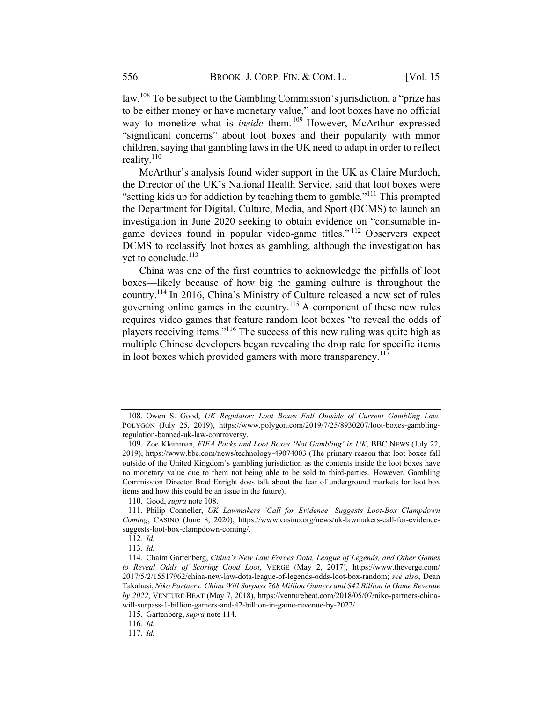law.<sup>108</sup> To be subject to the Gambling Commission's jurisdiction, a "prize has to be either money or have monetary value," and loot boxes have no official way to monetize what is *inside* them.<sup>109</sup> However, McArthur expressed "significant concerns" about loot boxes and their popularity with minor children, saying that gambling laws in the UK need to adapt in order to reflect reality. $110$ 

McArthur's analysis found wider support in the UK as Claire Murdoch, the Director of the UK's National Health Service, said that loot boxes were "setting kids up for addiction by teaching them to gamble."111 This prompted the Department for Digital, Culture, Media, and Sport (DCMS) to launch an investigation in June 2020 seeking to obtain evidence on "consumable ingame devices found in popular video-game titles." <sup>112</sup> Observers expect DCMS to reclassify loot boxes as gambling, although the investigation has yet to conclude.<sup>113</sup>

China was one of the first countries to acknowledge the pitfalls of loot boxes—likely because of how big the gaming culture is throughout the country.114 In 2016, China's Ministry of Culture released a new set of rules governing online games in the country.115 A component of these new rules requires video games that feature random loot boxes "to reveal the odds of players receiving items."116 The success of this new ruling was quite high as multiple Chinese developers began revealing the drop rate for specific items in loot boxes which provided gamers with more transparency.<sup>117</sup>

<sup>108.</sup> Owen S. Good, UK Regulator: Loot Boxes Fall Outside of Current Gambling Law, POLYGON (July 25, 2019), https://www.polygon.com/2019/7/25/8930207/loot-boxes-gamblingregulation-banned-uk-law-controversy.

<sup>109.</sup> Zoe Kleinman, FIFA Packs and Loot Boxes 'Not Gambling' in UK, BBC NEWS (July 22, 2019), https://www.bbc.com/news/technology-49074003 (The primary reason that loot boxes fall outside of the United Kingdom's gambling jurisdiction as the contents inside the loot boxes have no monetary value due to them not being able to be sold to third-parties. However, Gambling Commission Director Brad Enright does talk about the fear of underground markets for loot box items and how this could be an issue in the future).

<sup>110.</sup> Good, supra note 108.

<sup>111.</sup> Philip Conneller, UK Lawmakers 'Call for Evidence' Suggests Loot-Box Clampdown Coming, CASINO (June 8, 2020), https://www.casino.org/news/uk-lawmakers-call-for-evidencesuggests-loot-box-clampdown-coming/.

<sup>112</sup>. Id.

<sup>113</sup>. Id.

<sup>114.</sup> Chaim Gartenberg, China's New Law Forces Dota, League of Legends, and Other Games to Reveal Odds of Scoring Good Loot, VERGE (May 2, 2017), https://www.theverge.com/ 2017/5/2/15517962/china-new-law-dota-league-of-legends-odds-loot-box-random; see also, Dean Takahasi, Niko Partners: China Will Surpass 768 Million Gamers and \$42 Billion in Game Revenue by 2022, VENTURE BEAT (May 7, 2018), https://venturebeat.com/2018/05/07/niko-partners-chinawill-surpass-1-billion-gamers-and-42-billion-in-game-revenue-by-2022/.

<sup>115.</sup> Gartenberg, supra note 114.

<sup>116</sup>. Id.

<sup>117</sup>. Id.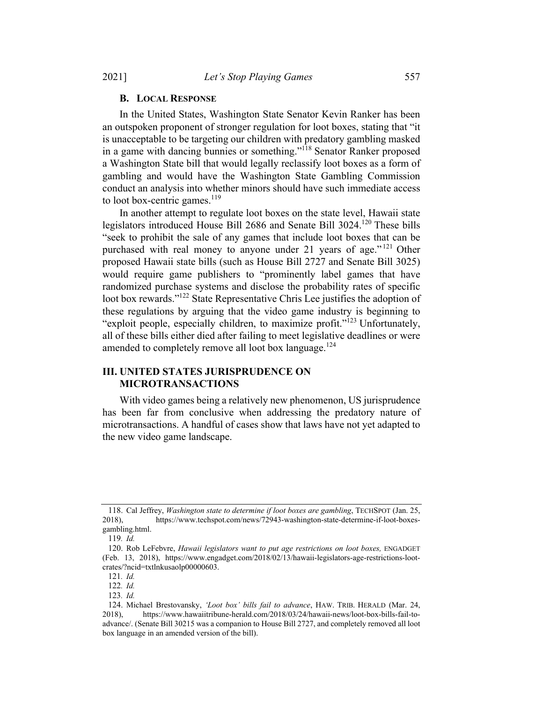#### B. LOCAL RESPONSE

In the United States, Washington State Senator Kevin Ranker has been an outspoken proponent of stronger regulation for loot boxes, stating that "it is unacceptable to be targeting our children with predatory gambling masked in a game with dancing bunnies or something."118 Senator Ranker proposed a Washington State bill that would legally reclassify loot boxes as a form of gambling and would have the Washington State Gambling Commission conduct an analysis into whether minors should have such immediate access to loot box-centric games. $119$ 

In another attempt to regulate loot boxes on the state level, Hawaii state legislators introduced House Bill 2686 and Senate Bill 3024.120 These bills "seek to prohibit the sale of any games that include loot boxes that can be purchased with real money to anyone under 21 years of age."<sup>121</sup> Other proposed Hawaii state bills (such as House Bill 2727 and Senate Bill 3025) would require game publishers to "prominently label games that have randomized purchase systems and disclose the probability rates of specific loot box rewards."<sup>122</sup> State Representative Chris Lee justifies the adoption of these regulations by arguing that the video game industry is beginning to "exploit people, especially children, to maximize profit."<sup>123</sup> Unfortunately, all of these bills either died after failing to meet legislative deadlines or were amended to completely remove all loot box language.<sup>124</sup>

## III. UNITED STATES JURISPRUDENCE ON MICROTRANSACTIONS

With video games being a relatively new phenomenon, US jurisprudence has been far from conclusive when addressing the predatory nature of microtransactions. A handful of cases show that laws have not yet adapted to the new video game landscape.

<sup>118.</sup> Cal Jeffrey, Washington state to determine if loot boxes are gambling, TECHSPOT (Jan. 25, 2018), https://www.techspot.com/news/72943-washington-state-determine-if-loot-boxesgambling.html.

<sup>119</sup>. Id.

<sup>120.</sup> Rob LeFebvre, Hawaii legislators want to put age restrictions on loot boxes, ENGADGET (Feb. 13, 2018), https://www.engadget.com/2018/02/13/hawaii-legislators-age-restrictions-lootcrates/?ncid=txtlnkusaolp00000603.

<sup>121</sup>. Id.

<sup>122</sup>. Id.

<sup>123</sup>. Id.

<sup>124.</sup> Michael Brestovansky, 'Loot box' bills fail to advance, HAW. TRIB. HERALD (Mar. 24, 2018), https://www.hawaiitribune-herald.com/2018/03/24/hawaii-news/loot-box-bills-fail-toadvance/. (Senate Bill 30215 was a companion to House Bill 2727, and completely removed all loot box language in an amended version of the bill).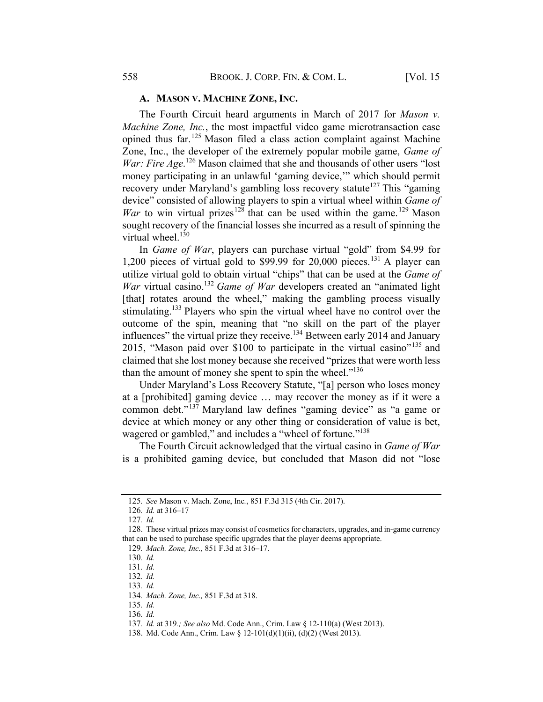A. MASON V. MACHINE ZONE, INC.

The Fourth Circuit heard arguments in March of 2017 for *Mason v*. Machine Zone, Inc., the most impactful video game microtransaction case opined thus far.<sup>125</sup> Mason filed a class action complaint against Machine Zone, Inc., the developer of the extremely popular mobile game, Game of War: Fire Age.<sup>126</sup> Mason claimed that she and thousands of other users "lost" money participating in an unlawful 'gaming device,'" which should permit recovery under Maryland's gambling loss recovery statute<sup>127</sup> This "gaming device" consisted of allowing players to spin a virtual wheel within *Game of* War to win virtual prizes<sup>128</sup> that can be used within the game.<sup>129</sup> Mason sought recovery of the financial losses she incurred as a result of spinning the virtual wheel. $130$ 

In Game of War, players can purchase virtual "gold" from \$4.99 for 1,200 pieces of virtual gold to \$99.99 for 20,000 pieces. <sup>131</sup> A player can utilize virtual gold to obtain virtual "chips" that can be used at the Game of War virtual casino.<sup>132</sup> Game of War developers created an "animated light [that] rotates around the wheel," making the gambling process visually stimulating.<sup>133</sup> Players who spin the virtual wheel have no control over the outcome of the spin, meaning that "no skill on the part of the player influences" the virtual prize they receive.<sup>134</sup> Between early 2014 and January 2015, "Mason paid over \$100 to participate in the virtual casino"<sup>135</sup> and claimed that she lost money because she received "prizes that were worth less than the amount of money she spent to spin the wheel."<sup>136</sup>

Under Maryland's Loss Recovery Statute, "[a] person who loses money at a [prohibited] gaming device … may recover the money as if it were a common debt."<sup>137</sup> Maryland law defines "gaming device" as "a game or device at which money or any other thing or consideration of value is bet, wagered or gambled," and includes a "wheel of fortune."<sup>138</sup>

The Fourth Circuit acknowledged that the virtual casino in *Game of War* is a prohibited gaming device, but concluded that Mason did not "lose

<sup>125</sup>. See Mason v. Mach. Zone, Inc., 851 F.3d 315 (4th Cir. 2017).

<sup>126</sup>. Id. at 316–17

<sup>127</sup>. Id.

<sup>128.</sup> These virtual prizes may consist of cosmetics for characters, upgrades, and in-game currency that can be used to purchase specific upgrades that the player deems appropriate.

<sup>129</sup>. Mach. Zone, Inc., 851 F.3d at 316–17.

<sup>130</sup>. Id.

<sup>131</sup>. Id.

<sup>132</sup>. Id.

<sup>133</sup>. Id.

<sup>134</sup>. Mach. Zone, Inc., 851 F.3d at 318.

<sup>135</sup>. Id.

<sup>136</sup>. Id.

<sup>137</sup>. Id. at 319.; See also Md. Code Ann., Crim. Law § 12-110(a) (West 2013).

<sup>138.</sup> Md. Code Ann., Crim. Law § 12-101(d)(1)(ii), (d)(2) (West 2013).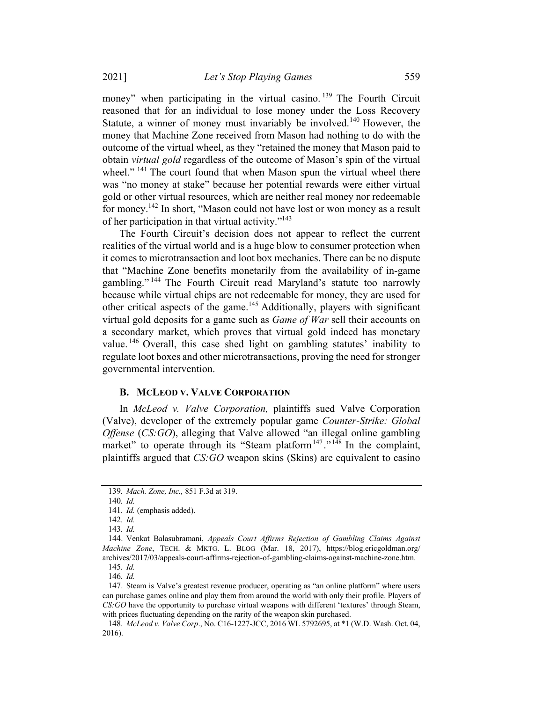money" when participating in the virtual casino.<sup>139</sup> The Fourth Circuit reasoned that for an individual to lose money under the Loss Recovery Statute, a winner of money must invariably be involved.<sup>140</sup> However, the money that Machine Zone received from Mason had nothing to do with the outcome of the virtual wheel, as they "retained the money that Mason paid to obtain virtual gold regardless of the outcome of Mason's spin of the virtual wheel."<sup>141</sup> The court found that when Mason spun the virtual wheel there was "no money at stake" because her potential rewards were either virtual gold or other virtual resources, which are neither real money nor redeemable for money.<sup>142</sup> In short, "Mason could not have lost or won money as a result of her participation in that virtual activity."<sup>143</sup>

The Fourth Circuit's decision does not appear to reflect the current realities of the virtual world and is a huge blow to consumer protection when it comes to microtransaction and loot box mechanics. There can be no dispute that "Machine Zone benefits monetarily from the availability of in-game gambling."<sup>144</sup> The Fourth Circuit read Maryland's statute too narrowly because while virtual chips are not redeemable for money, they are used for other critical aspects of the game.<sup>145</sup> Additionally, players with significant virtual gold deposits for a game such as Game of War sell their accounts on a secondary market, which proves that virtual gold indeed has monetary value. <sup>146</sup> Overall, this case shed light on gambling statutes' inability to regulate loot boxes and other microtransactions, proving the need for stronger governmental intervention.

#### B. MCLEOD V. VALVE CORPORATION

In McLeod v. Valve Corporation, plaintiffs sued Valve Corporation (Valve), developer of the extremely popular game Counter-Strike: Global Offense (CS:GO), alleging that Valve allowed "an illegal online gambling market" to operate through its "Steam platform<sup>147</sup>."<sup>148</sup> In the complaint, plaintiffs argued that CS:GO weapon skins (Skins) are equivalent to casino

<sup>139</sup>. Mach. Zone, Inc., 851 F.3d at 319.

<sup>140</sup>. Id.

<sup>141</sup>. Id. (emphasis added).

<sup>142</sup>. Id.

<sup>143</sup>. Id.

<sup>144.</sup> Venkat Balasubramani, Appeals Court Affirms Rejection of Gambling Claims Against Machine Zone, TECH. & MKTG. L. BLOG (Mar. 18, 2017), https://blog.ericgoldman.org/ archives/2017/03/appeals-court-affirms-rejection-of-gambling-claims-against-machine-zone.htm.

<sup>145</sup>. Id.

<sup>146</sup>. Id.

<sup>147.</sup> Steam is Valve's greatest revenue producer, operating as "an online platform" where users can purchase games online and play them from around the world with only their profile. Players of CS:GO have the opportunity to purchase virtual weapons with different 'textures' through Steam, with prices fluctuating depending on the rarity of the weapon skin purchased.

<sup>148</sup>. McLeod v. Valve Corp., No. C16-1227-JCC, 2016 WL 5792695, at \*1 (W.D. Wash. Oct. 04, 2016).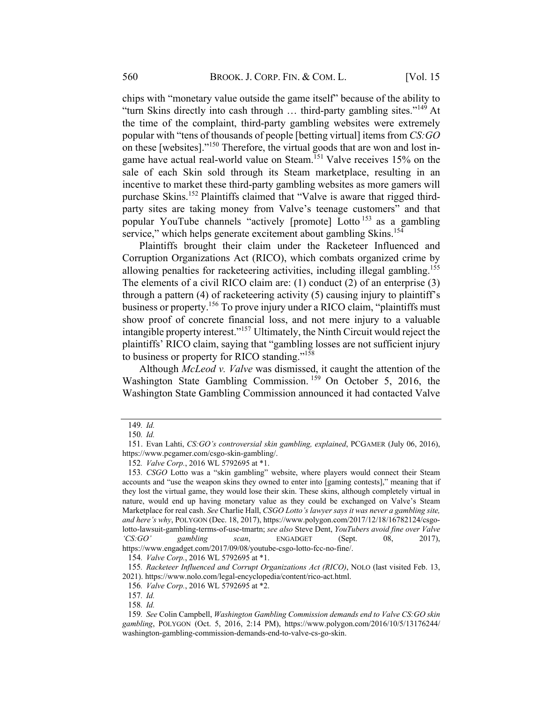chips with "monetary value outside the game itself" because of the ability to "turn Skins directly into cash through … third-party gambling sites."<sup>149</sup> At the time of the complaint, third-party gambling websites were extremely popular with "tens of thousands of people [betting virtual] items from CS:GO on these [websites]."<sup>150</sup> Therefore, the virtual goods that are won and lost ingame have actual real-world value on Steam.<sup>151</sup> Valve receives 15% on the sale of each Skin sold through its Steam marketplace, resulting in an incentive to market these third-party gambling websites as more gamers will purchase Skins.<sup>152</sup> Plaintiffs claimed that "Valve is aware that rigged thirdparty sites are taking money from Valve's teenage customers" and that popular YouTube channels "actively [promote] Lotto  $153$  as a gambling service," which helps generate excitement about gambling Skins.<sup>154</sup>

Plaintiffs brought their claim under the Racketeer Influenced and Corruption Organizations Act (RICO), which combats organized crime by allowing penalties for racketeering activities, including illegal gambling.<sup>155</sup> The elements of a civil RICO claim are: (1) conduct (2) of an enterprise (3) through a pattern (4) of racketeering activity (5) causing injury to plaintiff's business or property.<sup>156</sup> To prove injury under a RICO claim, "plaintiffs must show proof of concrete financial loss, and not mere injury to a valuable intangible property interest."157 Ultimately, the Ninth Circuit would reject the plaintiffs' RICO claim, saying that "gambling losses are not sufficient injury to business or property for RICO standing."<sup>158</sup>

Although McLeod v. Valve was dismissed, it caught the attention of the Washington State Gambling Commission.<sup>159</sup> On October 5, 2016, the Washington State Gambling Commission announced it had contacted Valve

<sup>149</sup>. Id.

<sup>150</sup>. Id.

<sup>151.</sup> Evan Lahti, CS:GO's controversial skin gambling, explained, PCGAMER (July 06, 2016), https://www.pcgamer.com/csgo-skin-gambling/.

<sup>152</sup>. Valve Corp., 2016 WL 5792695 at \*1.

<sup>153</sup>. CSGO Lotto was a "skin gambling" website, where players would connect their Steam accounts and "use the weapon skins they owned to enter into [gaming contests]," meaning that if they lost the virtual game, they would lose their skin. These skins, although completely virtual in nature, would end up having monetary value as they could be exchanged on Valve's Steam Marketplace for real cash. See Charlie Hall, CSGO Lotto's lawyer says it was never a gambling site, and here's why, POLYGON (Dec. 18, 2017), https://www.polygon.com/2017/12/18/16782124/csgolotto-lawsuit-gambling-terms-of-use-tmartn; see also Steve Dent, YouTubers avoid fine over Valve 'CS:GO' gambling scan, ENGADGET (Sept. 08, 2017), https://www.engadget.com/2017/09/08/youtube-csgo-lotto-fcc-no-fine/.

<sup>154</sup>. Valve Corp., 2016 WL 5792695 at \*1.

<sup>155</sup>. Racketeer Influenced and Corrupt Organizations Act (RICO), NOLO (last visited Feb. 13, 2021). https://www.nolo.com/legal-encyclopedia/content/rico-act.html.

<sup>156</sup>. Valve Corp., 2016 WL 5792695 at \*2.

<sup>157</sup>. Id.

<sup>158</sup>. Id.

<sup>159</sup>. See Colin Campbell, Washington Gambling Commission demands end to Valve CS:GO skin gambling, POLYGON (Oct. 5, 2016, 2:14 PM), https://www.polygon.com/2016/10/5/13176244/ washington-gambling-commission-demands-end-to-valve-cs-go-skin.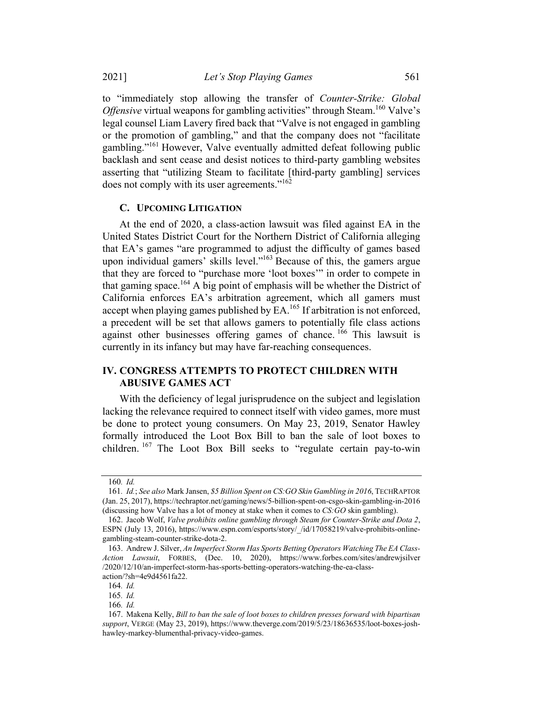to "immediately stop allowing the transfer of Counter-Strike: Global *Offensive* virtual weapons for gambling activities" through Steam.<sup>160</sup> Valve's legal counsel Liam Lavery fired back that "Valve is not engaged in gambling or the promotion of gambling," and that the company does not "facilitate gambling."161 However, Valve eventually admitted defeat following public backlash and sent cease and desist notices to third-party gambling websites asserting that "utilizing Steam to facilitate [third-party gambling] services does not comply with its user agreements."<sup>162</sup>

#### C. UPCOMING LITIGATION

At the end of 2020, a class-action lawsuit was filed against EA in the United States District Court for the Northern District of California alleging that EA's games "are programmed to adjust the difficulty of games based upon individual gamers' skills level."163 Because of this, the gamers argue that they are forced to "purchase more 'loot boxes'" in order to compete in that gaming space.<sup>164</sup> A big point of emphasis will be whether the District of California enforces EA's arbitration agreement, which all gamers must accept when playing games published by  $EA$ .<sup>165</sup> If arbitration is not enforced, a precedent will be set that allows gamers to potentially file class actions against other businesses offering games of chance. <sup>166</sup> This lawsuit is currently in its infancy but may have far-reaching consequences.

## IV. CONGRESS ATTEMPTS TO PROTECT CHILDREN WITH ABUSIVE GAMES ACT

With the deficiency of legal jurisprudence on the subject and legislation lacking the relevance required to connect itself with video games, more must be done to protect young consumers. On May 23, 2019, Senator Hawley formally introduced the Loot Box Bill to ban the sale of loot boxes to children. <sup>167</sup> The Loot Box Bill seeks to "regulate certain pay-to-win

<sup>160</sup>. Id.

<sup>161</sup>. Id.; See also Mark Jansen, \$5 Billion Spent on CS:GO Skin Gambling in 2016, TECHRAPTOR (Jan. 25, 2017), https://techraptor.net/gaming/news/5-billion-spent-on-csgo-skin-gambling-in-2016 (discussing how Valve has a lot of money at stake when it comes to CS:GO skin gambling).

<sup>162.</sup> Jacob Wolf, Valve prohibits online gambling through Steam for Counter-Strike and Dota 2, ESPN (July 13, 2016), https://www.espn.com/esports/story/ /id/17058219/valve-prohibits-onlinegambling-steam-counter-strike-dota-2.

<sup>163.</sup> Andrew J. Silver, An Imperfect Storm Has Sports Betting Operators Watching The EA Class-Action Lawsuit, FORBES, (Dec. 10, 2020), https://www.forbes.com/sites/andrewjsilver /2020/12/10/an-imperfect-storm-has-sports-betting-operators-watching-the-ea-classaction/?sh=4e9d4561fa22.

<sup>164</sup>. Id.

<sup>165</sup>. Id.

<sup>166</sup>. Id.

<sup>167.</sup> Makena Kelly, Bill to ban the sale of loot boxes to children presses forward with bipartisan support, VERGE (May 23, 2019), https://www.theverge.com/2019/5/23/18636535/loot-boxes-joshhawley-markey-blumenthal-privacy-video-games.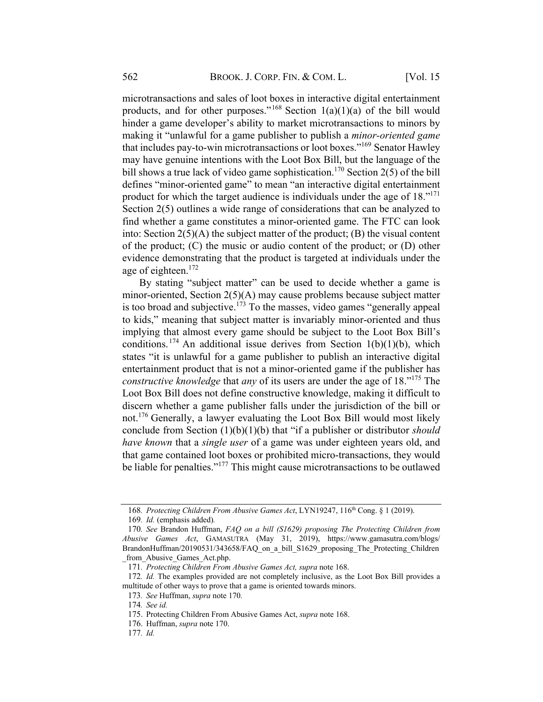microtransactions and sales of loot boxes in interactive digital entertainment products, and for other purposes."<sup>168</sup> Section  $1(a)(1)(a)$  of the bill would hinder a game developer's ability to market microtransactions to minors by making it "unlawful for a game publisher to publish a minor-oriented game that includes pay-to-win microtransactions or loot boxes."169 Senator Hawley may have genuine intentions with the Loot Box Bill, but the language of the bill shows a true lack of video game sophistication.<sup>170</sup> Section 2(5) of the bill defines "minor-oriented game" to mean "an interactive digital entertainment product for which the target audience is individuals under the age of 18."<sup>171</sup> Section 2(5) outlines a wide range of considerations that can be analyzed to find whether a game constitutes a minor-oriented game. The FTC can look into: Section 2(5)(A) the subject matter of the product; (B) the visual content of the product; (C) the music or audio content of the product; or (D) other evidence demonstrating that the product is targeted at individuals under the age of eighteen.<sup>172</sup>

By stating "subject matter" can be used to decide whether a game is minor-oriented, Section 2(5)(A) may cause problems because subject matter is too broad and subjective.<sup>173</sup> To the masses, video games "generally appeal to kids," meaning that subject matter is invariably minor-oriented and thus implying that almost every game should be subject to the Loot Box Bill's conditions.<sup>174</sup> An additional issue derives from Section 1(b)(1)(b), which states "it is unlawful for a game publisher to publish an interactive digital entertainment product that is not a minor-oriented game if the publisher has constructive knowledge that any of its users are under the age of 18."<sup>175</sup> The Loot Box Bill does not define constructive knowledge, making it difficult to discern whether a game publisher falls under the jurisdiction of the bill or not.176 Generally, a lawyer evaluating the Loot Box Bill would most likely conclude from Section  $(1)(b)(1)(b)$  that "if a publisher or distributor should have known that a single user of a game was under eighteen years old, and that game contained loot boxes or prohibited micro-transactions, they would be liable for penalties."<sup>177</sup> This might cause microtransactions to be outlawed

<sup>168.</sup> Protecting Children From Abusive Games Act, LYN19247, 116<sup>th</sup> Cong. § 1 (2019).

<sup>169</sup>. Id. (emphasis added).

<sup>170.</sup> See Brandon Huffman, FAQ on a bill (S1629) proposing The Protecting Children from Abusive Games Act, GAMASUTRA (May 31, 2019), https://www.gamasutra.com/blogs/ BrandonHuffman/20190531/343658/FAQ\_on\_a\_bill\_S1629\_proposing\_The\_Protecting\_Children from Abusive Games Act.php.

<sup>171</sup>. Protecting Children From Abusive Games Act, supra note 168.

<sup>172.</sup> Id. The examples provided are not completely inclusive, as the Loot Box Bill provides a multitude of other ways to prove that a game is oriented towards minors.

<sup>173</sup>. See Huffman, supra note 170.

<sup>174</sup>. See id.

<sup>175.</sup> Protecting Children From Abusive Games Act, supra note 168.

<sup>176.</sup> Huffman, supra note 170.

<sup>177</sup>. Id.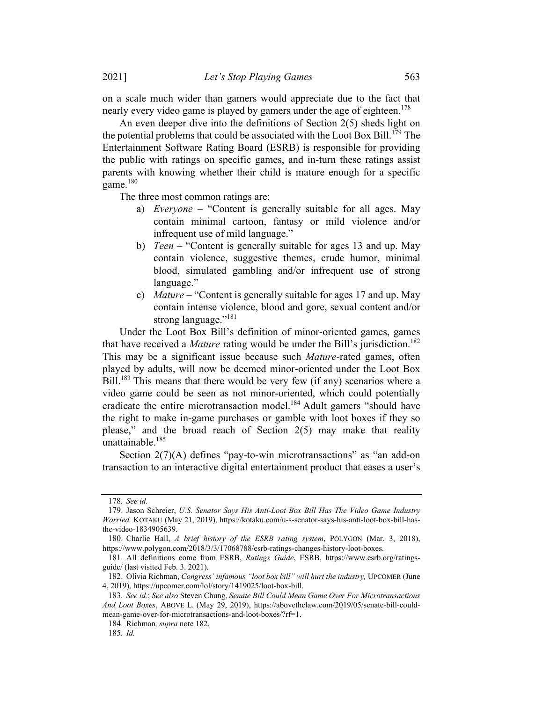on a scale much wider than gamers would appreciate due to the fact that nearly every video game is played by gamers under the age of eighteen.<sup>178</sup>

An even deeper dive into the definitions of Section 2(5) sheds light on the potential problems that could be associated with the Loot Box Bill.<sup>179</sup> The Entertainment Software Rating Board (ESRB) is responsible for providing the public with ratings on specific games, and in-turn these ratings assist parents with knowing whether their child is mature enough for a specific game. $180$ 

The three most common ratings are:

- a) Everyone "Content is generally suitable for all ages. May contain minimal cartoon, fantasy or mild violence and/or infrequent use of mild language."
- b) *Teen* "Content is generally suitable for ages 13 and up. May contain violence, suggestive themes, crude humor, minimal blood, simulated gambling and/or infrequent use of strong language."
- c) Mature "Content is generally suitable for ages 17 and up. May contain intense violence, blood and gore, sexual content and/or strong language."<sup>181</sup>

Under the Loot Box Bill's definition of minor-oriented games, games that have received a *Mature* rating would be under the Bill's jurisdiction.<sup>182</sup> This may be a significant issue because such *Mature*-rated games, often played by adults, will now be deemed minor-oriented under the Loot Box Bill.<sup>183</sup> This means that there would be very few (if any) scenarios where a video game could be seen as not minor-oriented, which could potentially eradicate the entire microtransaction model.<sup>184</sup> Adult gamers "should have the right to make in-game purchases or gamble with loot boxes if they so please," and the broad reach of Section 2(5) may make that reality unattainable.<sup>185</sup>

Section 2(7)(A) defines "pay-to-win microtransactions" as "an add-on transaction to an interactive digital entertainment product that eases a user's

<sup>178</sup>. See id.

<sup>179.</sup> Jason Schreier, U.S. Senator Says His Anti-Loot Box Bill Has The Video Game Industry Worried, KOTAKU (May 21, 2019), https://kotaku.com/u-s-senator-says-his-anti-loot-box-bill-hasthe-video-1834905639.

<sup>180.</sup> Charlie Hall, A brief history of the ESRB rating system, POLYGON (Mar. 3, 2018), https://www.polygon.com/2018/3/3/17068788/esrb-ratings-changes-history-loot-boxes.

<sup>181.</sup> All definitions come from ESRB, Ratings Guide, ESRB, https://www.esrb.org/ratingsguide/ (last visited Feb. 3. 2021).

<sup>182.</sup> Olivia Richman, Congress' infamous "loot box bill" will hurt the industry, UPCOMER (June 4, 2019), https://upcomer.com/lol/story/1419025/loot-box-bill.

<sup>183</sup>. See id.; See also Steven Chung, Senate Bill Could Mean Game Over For Microtransactions And Loot Boxes, ABOVE L. (May 29, 2019), https://abovethelaw.com/2019/05/senate-bill-couldmean-game-over-for-microtransactions-and-loot-boxes/?rf=1.

<sup>184.</sup> Richman, supra note 182.

<sup>185</sup>. Id.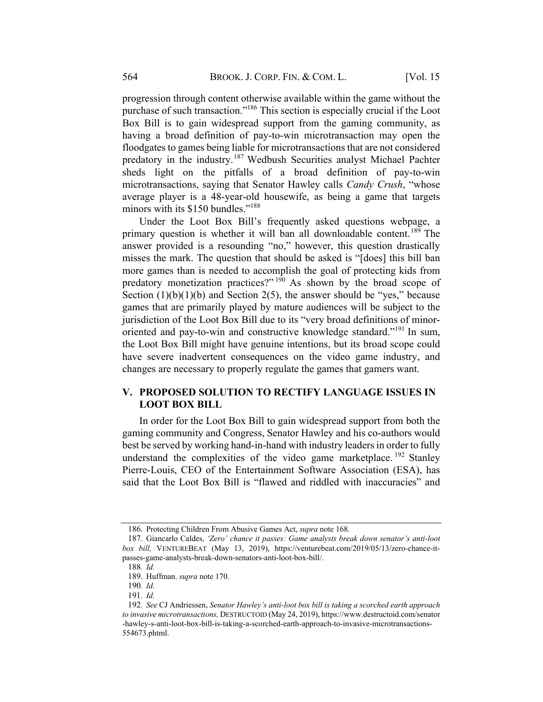progression through content otherwise available within the game without the purchase of such transaction."186 This section is especially crucial if the Loot Box Bill is to gain widespread support from the gaming community, as having a broad definition of pay-to-win microtransaction may open the floodgates to games being liable for microtransactions that are not considered predatory in the industry.<sup>187</sup> Wedbush Securities analyst Michael Pachter sheds light on the pitfalls of a broad definition of pay-to-win microtransactions, saying that Senator Hawley calls Candy Crush, "whose average player is a 48-year-old housewife, as being a game that targets minors with its \$150 bundles."<sup>188</sup>

Under the Loot Box Bill's frequently asked questions webpage, a primary question is whether it will ban all downloadable content.<sup>189</sup> The answer provided is a resounding "no," however, this question drastically misses the mark. The question that should be asked is "[does] this bill ban more games than is needed to accomplish the goal of protecting kids from predatory monetization practices?" <sup>190</sup> As shown by the broad scope of Section  $(1)(b)(1)(b)$  and Section 2(5), the answer should be "yes," because games that are primarily played by mature audiences will be subject to the jurisdiction of the Loot Box Bill due to its "very broad definitions of minororiented and pay-to-win and constructive knowledge standard."<sup>191</sup> In sum, the Loot Box Bill might have genuine intentions, but its broad scope could have severe inadvertent consequences on the video game industry, and changes are necessary to properly regulate the games that gamers want.

## V. PROPOSED SOLUTION TO RECTIFY LANGUAGE ISSUES IN LOOT BOX BILL

In order for the Loot Box Bill to gain widespread support from both the gaming community and Congress, Senator Hawley and his co-authors would best be served by working hand-in-hand with industry leaders in order to fully understand the complexities of the video game marketplace.  $192$  Stanley Pierre-Louis, CEO of the Entertainment Software Association (ESA), has said that the Loot Box Bill is "flawed and riddled with inaccuracies" and

<sup>186.</sup> Protecting Children From Abusive Games Act, supra note 168.

<sup>187.</sup> Giancarlo Caldes, 'Zero' chance it passes: Game analysts break down senator's anti-loot box bill, VENTUREBEAT (May 13, 2019), https://venturebeat.com/2019/05/13/zero-chance-itpasses-game-analysts-break-down-senators-anti-loot-box-bill/.

<sup>188</sup>. Id.

<sup>189.</sup> Huffman. supra note 170.

<sup>190</sup>. Id.

<sup>191</sup>. Id.

<sup>192</sup>. See CJ Andriessen, Senator Hawley's anti-loot box bill is taking a scorched earth approach to invasive microtransactions, DESTRUCTOID (May 24, 2019), https://www.destructoid.com/senator -hawley-s-anti-loot-box-bill-is-taking-a-scorched-earth-approach-to-invasive-microtransactions-554673.phtml.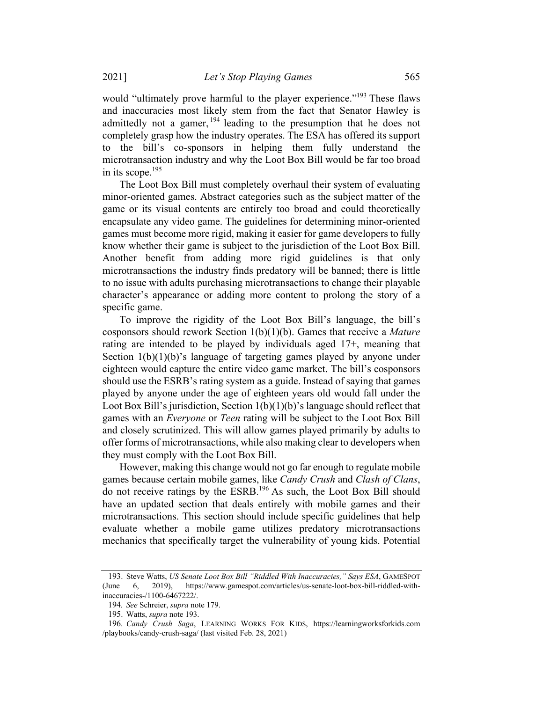would "ultimately prove harmful to the player experience."<sup>193</sup> These flaws and inaccuracies most likely stem from the fact that Senator Hawley is admittedly not a gamer,  $194$  leading to the presumption that he does not completely grasp how the industry operates. The ESA has offered its support the bill's co-sponsors in helping them fully understand the microtransaction industry and why the Loot Box Bill would be far too broad in its scope. $195$ 

The Loot Box Bill must completely overhaul their system of evaluating minor-oriented games. Abstract categories such as the subject matter of the game or its visual contents are entirely too broad and could theoretically encapsulate any video game. The guidelines for determining minor-oriented games must become more rigid, making it easier for game developers to fully know whether their game is subject to the jurisdiction of the Loot Box Bill. Another benefit from adding more rigid guidelines is that only microtransactions the industry finds predatory will be banned; there is little to no issue with adults purchasing microtransactions to change their playable character's appearance or adding more content to prolong the story of a specific game.

To improve the rigidity of the Loot Box Bill's language, the bill's cosponsors should rework Section  $1(b)(1)(b)$ . Games that receive a *Mature* rating are intended to be played by individuals aged 17+, meaning that Section  $1(b)(1)(b)$ 's language of targeting games played by anyone under eighteen would capture the entire video game market. The bill's cosponsors should use the ESRB's rating system as a guide. Instead of saying that games played by anyone under the age of eighteen years old would fall under the Loot Box Bill's jurisdiction, Section  $1(b)(1)(b)$ 's language should reflect that games with an Everyone or Teen rating will be subject to the Loot Box Bill and closely scrutinized. This will allow games played primarily by adults to offer forms of microtransactions, while also making clear to developers when they must comply with the Loot Box Bill.

However, making this change would not go far enough to regulate mobile games because certain mobile games, like Candy Crush and Clash of Clans, do not receive ratings by the ESRB.196 As such, the Loot Box Bill should have an updated section that deals entirely with mobile games and their microtransactions. This section should include specific guidelines that help evaluate whether a mobile game utilizes predatory microtransactions mechanics that specifically target the vulnerability of young kids. Potential

<sup>193.</sup> Steve Watts, US Senate Loot Box Bill "Riddled With Inaccuracies," Says ESA, GAMESPOT (June 6, 2019), https://www.gamespot.com/articles/us-senate-loot-box-bill-riddled-withinaccuracies-/1100-6467222/.

<sup>194</sup>. See Schreier, supra note 179.

<sup>195.</sup> Watts, supra note 193.

<sup>196</sup>. Candy Crush Saga, LEARNING WORKS FOR KIDS, https://learningworksforkids.com /playbooks/candy-crush-saga/ (last visited Feb. 28, 2021)